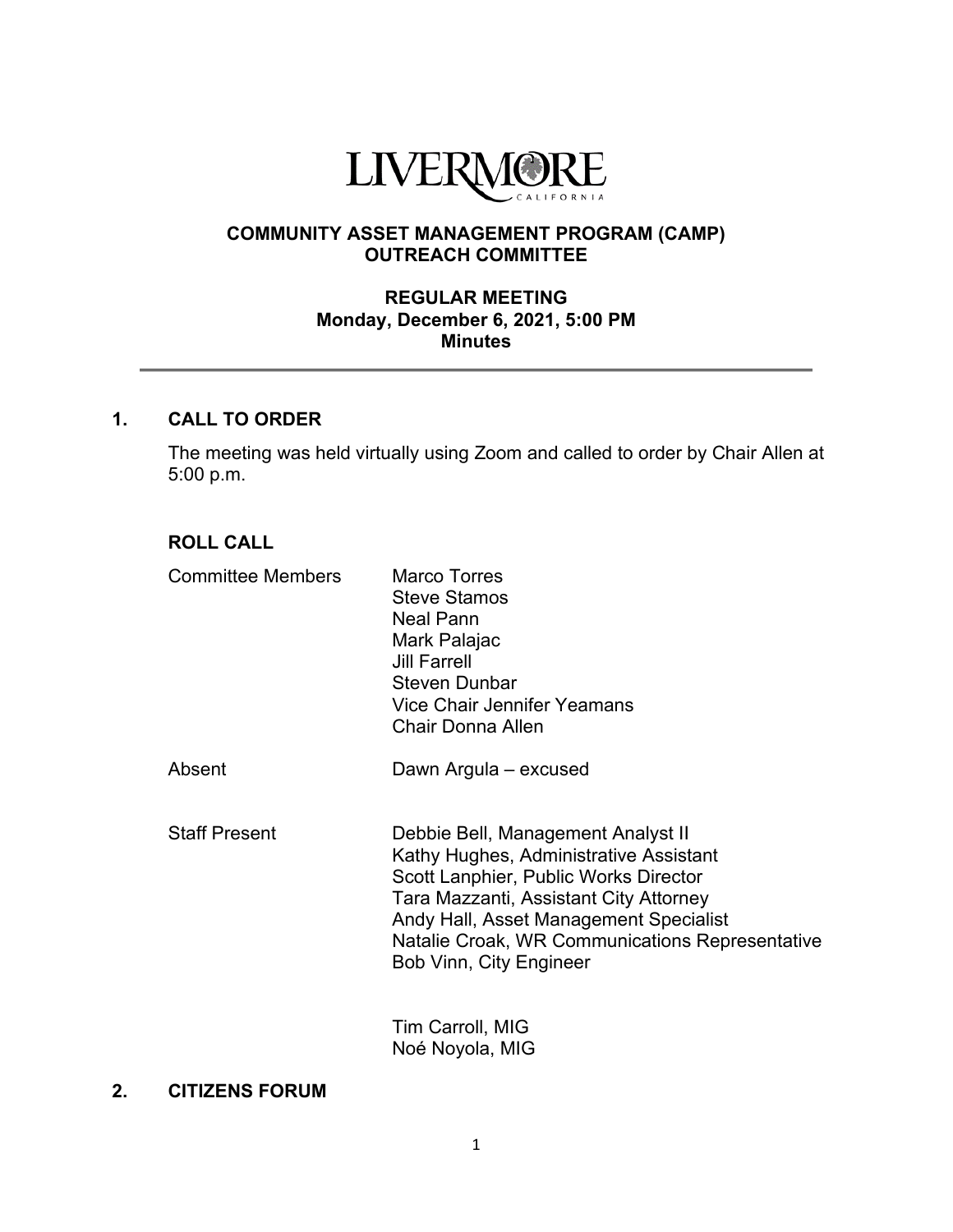

# **COMMUNITY ASSET MANAGEMENT PROGRAM (CAMP) OUTREACH COMMITTEE**

### **REGULAR MEETING Monday, December 6, 2021, 5:00 PM Minutes**

# **1. CALL TO ORDER**

The meeting was held virtually using Zoom and called to order by Chair Allen at 5:00 p.m.

# **ROLL CALL**

| <b>Committee Members</b> | Marco Torres<br><b>Steve Stamos</b><br><b>Neal Pann</b><br>Mark Palajac<br><b>Jill Farrell</b><br><b>Steven Dunbar</b><br><b>Vice Chair Jennifer Yeamans</b><br><b>Chair Donna Allen</b>                                                                                                       |
|--------------------------|------------------------------------------------------------------------------------------------------------------------------------------------------------------------------------------------------------------------------------------------------------------------------------------------|
| Absent                   | Dawn Argula - excused                                                                                                                                                                                                                                                                          |
| <b>Staff Present</b>     | Debbie Bell, Management Analyst II<br>Kathy Hughes, Administrative Assistant<br>Scott Lanphier, Public Works Director<br>Tara Mazzanti, Assistant City Attorney<br>Andy Hall, Asset Management Specialist<br>Natalie Croak, WR Communications Representative<br><b>Bob Vinn, City Engineer</b> |

Tim Carroll, MIG Noé Noyola, MIG

### **2. CITIZENS FORUM**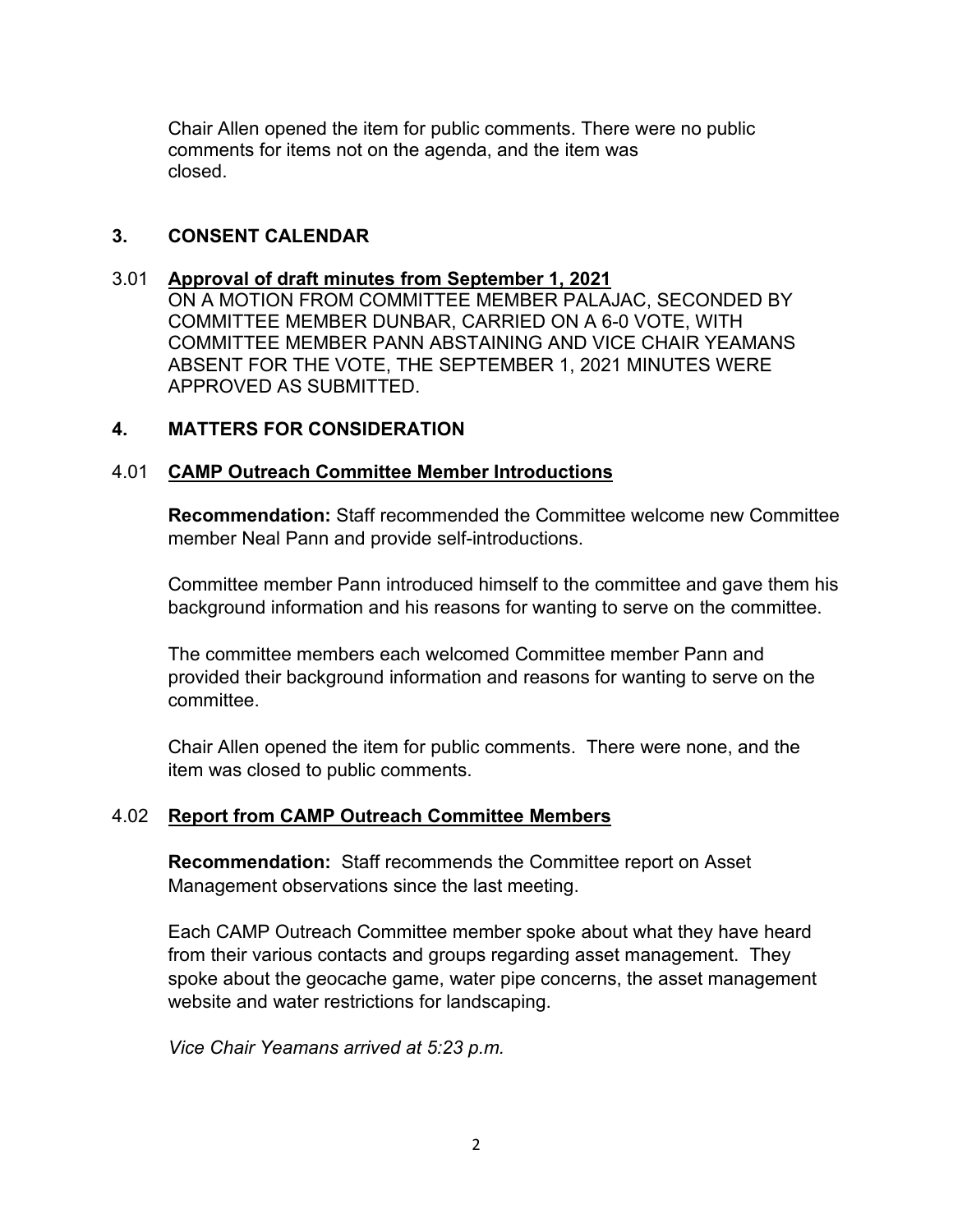Chair Allen opened the item for public comments. There were no public comments for items not on the agenda, and the item was closed.

## **3. CONSENT CALENDAR**

#### 3.01 **Approval of draft minutes from September 1, 2021**

ON A MOTION FROM COMMITTEE MEMBER PALAJAC, SECONDED BY COMMITTEE MEMBER DUNBAR, CARRIED ON A 6-0 VOTE, WITH COMMITTEE MEMBER PANN ABSTAINING AND VICE CHAIR YEAMANS ABSENT FOR THE VOTE, THE SEPTEMBER 1, 2021 MINUTES WERE APPROVED AS SUBMITTED.

## **4. MATTERS FOR CONSIDERATION**

#### 4.01 **CAMP Outreach Committee Member Introductions**

**Recommendation:** Staff recommended the Committee welcome new Committee member Neal Pann and provide self-introductions.

Committee member Pann introduced himself to the committee and gave them his background information and his reasons for wanting to serve on the committee.

The committee members each welcomed Committee member Pann and provided their background information and reasons for wanting to serve on the committee.

Chair Allen opened the item for public comments. There were none, and the item was closed to public comments.

## 4.02 **Report from CAMP Outreach Committee Members**

**Recommendation:** Staff recommends the Committee report on Asset Management observations since the last meeting.

Each CAMP Outreach Committee member spoke about what they have heard from their various contacts and groups regarding asset management. They spoke about the geocache game, water pipe concerns, the asset management website and water restrictions for landscaping.

*Vice Chair Yeamans arrived at 5:23 p.m.*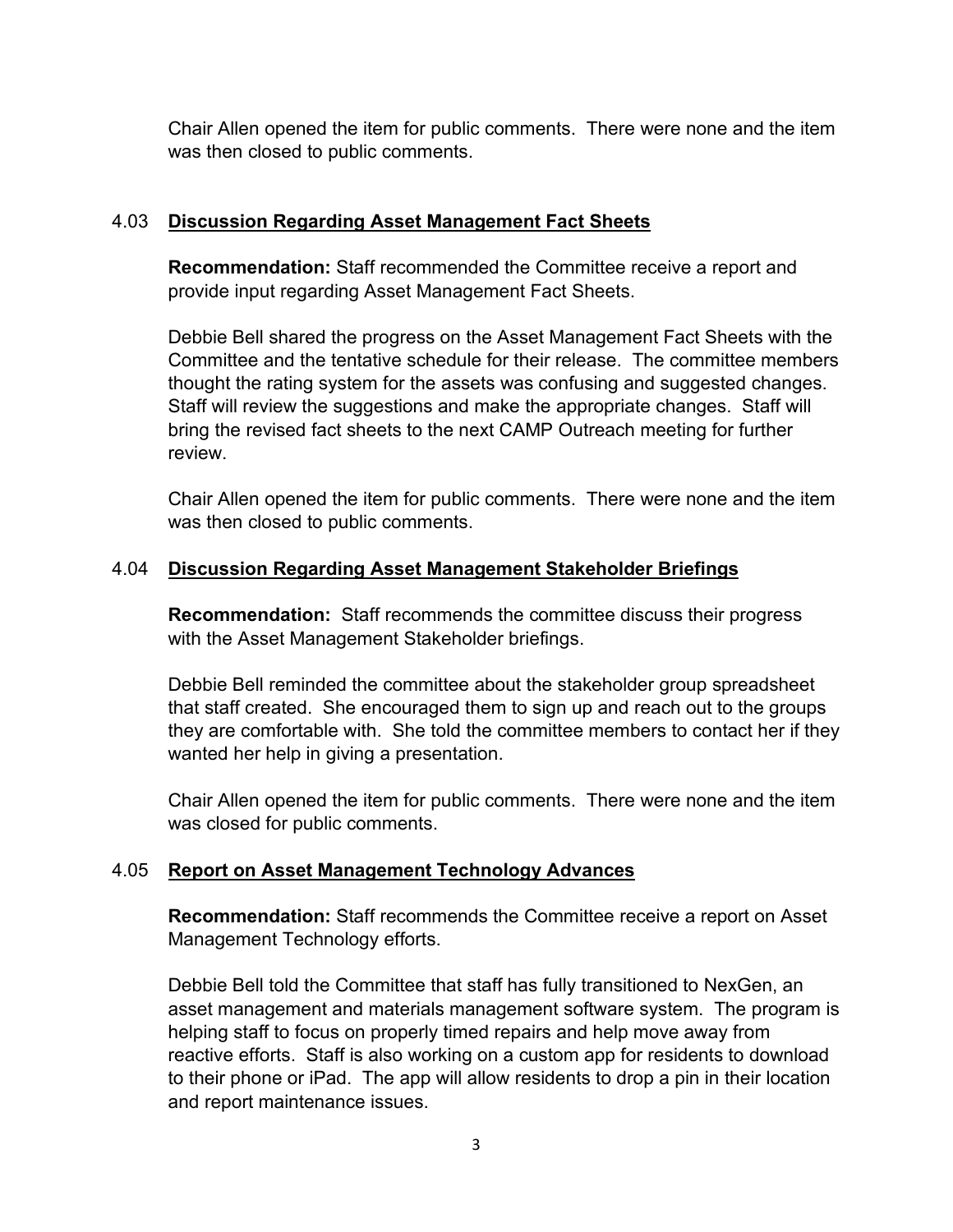Chair Allen opened the item for public comments. There were none and the item was then closed to public comments.

## 4.03 **Discussion Regarding Asset Management Fact Sheets**

**Recommendation:** Staff recommended the Committee receive a report and provide input regarding Asset Management Fact Sheets.

Debbie Bell shared the progress on the Asset Management Fact Sheets with the Committee and the tentative schedule for their release. The committee members thought the rating system for the assets was confusing and suggested changes. Staff will review the suggestions and make the appropriate changes. Staff will bring the revised fact sheets to the next CAMP Outreach meeting for further review.

Chair Allen opened the item for public comments. There were none and the item was then closed to public comments.

# 4.04 **Discussion Regarding Asset Management Stakeholder Briefings**

**Recommendation:** Staff recommends the committee discuss their progress with the Asset Management Stakeholder briefings.

Debbie Bell reminded the committee about the stakeholder group spreadsheet that staff created. She encouraged them to sign up and reach out to the groups they are comfortable with. She told the committee members to contact her if they wanted her help in giving a presentation.

Chair Allen opened the item for public comments. There were none and the item was closed for public comments.

# 4.05 **Report on Asset Management Technology Advances**

**Recommendation:** Staff recommends the Committee receive a report on Asset Management Technology efforts.

Debbie Bell told the Committee that staff has fully transitioned to NexGen, an asset management and materials management software system. The program is helping staff to focus on properly timed repairs and help move away from reactive efforts. Staff is also working on a custom app for residents to download to their phone or iPad. The app will allow residents to drop a pin in their location and report maintenance issues.